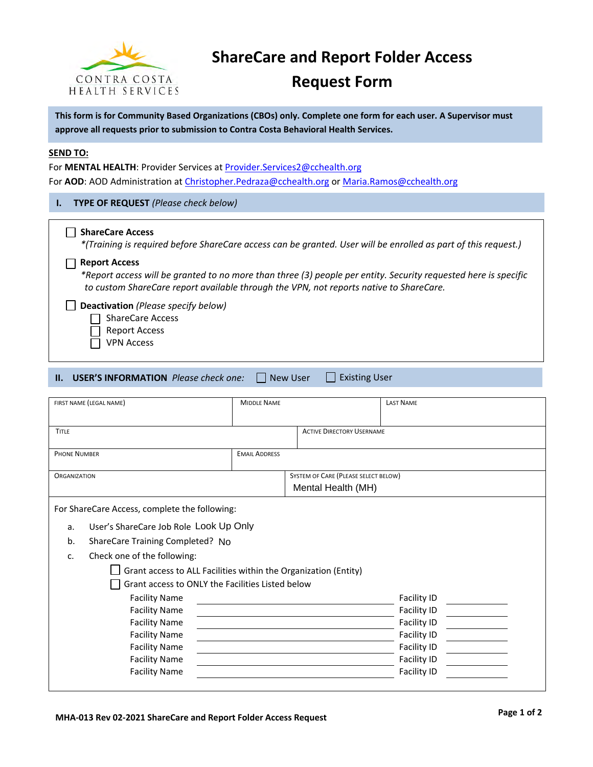

# **ShareCare and Report Folder Access**

# **Request Form**

**This form is for Community Based Organizations (CBOs) only. Complete one form for each user. A Supervisor must approve all requests prior to submission to Contra Costa Behavioral Health Services.**

#### **SEND TO:**

For **MENTAL HEALTH**: Provider Services at **Provider.Services2@cchealth.org** For **AOD**: AOD Administration at [Christopher.Pedraza@cchealth.org](mailto:Christopher.Pedraza@cchealth.org) or [Maria.Ramos@cchealth.org](mailto:Maria.Ramos@cchealth.org)

#### **I. TYPE OF REQUEST** *(Please check below)*

#### **ShareCare Access**

*\*(Training is required before ShareCare access can be granted. User will be enrolled as part of this request.)*

#### **Report Access**

*\*Report access will be granted to no more than three (3) people per entity. Security requested here is specific to custom ShareCare report available through the VPN, not reports native to ShareCare.*

**Deactivation** *(Please specify below)*

 $\Box$  ShareCare Access

- $\Box$ Report Access
- VPN Access

| <b>II. USER'S INFORMATION</b> Please check one: |  | New User | ∐ Existing User |
|-------------------------------------------------|--|----------|-----------------|
|-------------------------------------------------|--|----------|-----------------|

| FIRST NAME (LEGAL NAME)                                         | <b>MIDDLE NAME</b>   |                                                            | <b>LAST NAME</b> |  |  |
|-----------------------------------------------------------------|----------------------|------------------------------------------------------------|------------------|--|--|
| <b>TITLE</b>                                                    |                      | <b>ACTIVE DIRECTORY USERNAME</b>                           |                  |  |  |
| <b>PHONE NUMBER</b>                                             | <b>EMAIL ADDRESS</b> |                                                            |                  |  |  |
| <b>ORGANIZATION</b>                                             |                      | SYSTEM OF CARE (PLEASE SELECT BELOW)<br>Mental Health (MH) |                  |  |  |
| For ShareCare Access, complete the following:                   |                      |                                                            |                  |  |  |
| User's ShareCare Job Role Look Up Only<br>a.                    |                      |                                                            |                  |  |  |
| b.<br>ShareCare Training Completed? No                          |                      |                                                            |                  |  |  |
| Check one of the following:<br>$C_{r}$                          |                      |                                                            |                  |  |  |
| Grant access to ALL Facilities within the Organization (Entity) |                      |                                                            |                  |  |  |
| Grant access to ONLY the Facilities Listed below                |                      |                                                            |                  |  |  |
| <b>Facility Name</b>                                            |                      |                                                            | Facility ID      |  |  |
| <b>Facility Name</b>                                            |                      |                                                            | Facility ID      |  |  |
| <b>Facility Name</b>                                            |                      |                                                            | Facility ID      |  |  |
| <b>Facility Name</b>                                            |                      |                                                            | Facility ID      |  |  |
| <b>Facility Name</b>                                            |                      |                                                            | Facility ID      |  |  |
| <b>Facility Name</b>                                            |                      |                                                            | Facility ID      |  |  |
| <b>Facility Name</b>                                            |                      |                                                            | Facility ID      |  |  |